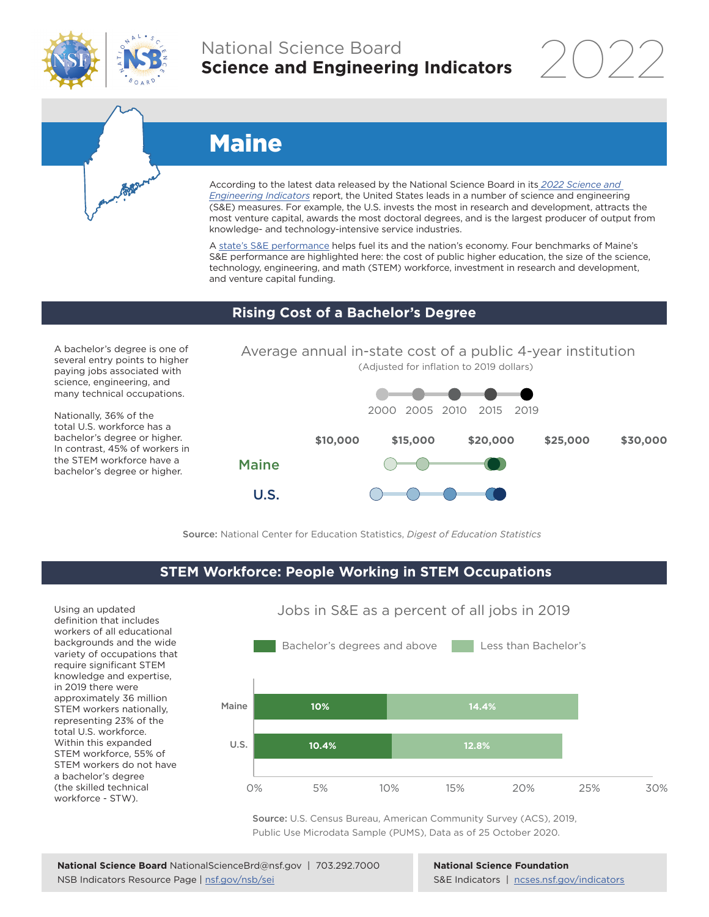

## National Science Board **Science and Engineering Indicators**

2022

# Maine

According to the latest data released by the National Science Board in its *[2022 Science and](https://www.ncses.nsf.gov/indicators)  [Engineering Indicators](https://www.ncses.nsf.gov/indicators)* report, the United States leads in a number of science and engineering (S&E) measures. For example, the U.S. invests the most in research and development, attracts the most venture capital, awards the most doctoral degrees, and is the largest producer of output from knowledge- and technology-intensive service industries.

A state's S&E performance helps fuel its and the nation's economy. Four benchmarks of Maine's S&E performance are highlighted here: the cost of public higher education, the size of the science, technology, engineering, and math (STEM) workforce, investment in research and development, and venture capital funding.

#### **Rising Cost of a Bachelor's Degree**

A bachelor's degree is one of several entry points to higher paying jobs associated with science, engineering, and many technical occupations.

Nationally, 36% of the total U.S. workforce has a bachelor's degree or higher. In contrast, 45% of workers in the STEM workforce have a bachelor's degree or higher.





Source: National Center for Education Statistics, *Digest of Education Statistics*

### **STEM Workforce: People Working in STEM Occupations**

Using an updated definition that includes workers of all educational backgrounds and the wide variety of occupations that require significant STEM knowledge and expertise, in 2019 there were approximately 36 million STEM workers nationally, representing 23% of the total U.S. workforce. Within this expanded STEM workforce, 55% of STEM workers do not have a bachelor's degree (the skilled technical workforce - STW).



Jobs in S&E as a percent of all jobs in 2019

Source: U.S. Census Bureau, American Community Survey (ACS), 2019, Public Use Microdata Sample (PUMS), Data as of 25 October 2020.

**National Science Foundation** S&E Indicators | [ncses.nsf.gov/indicators](https://www.ncses.nsf.gov/indicators)